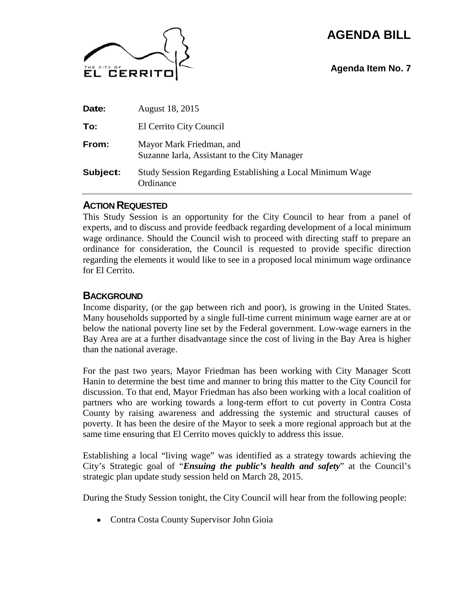# **AGENDA BILL**



### **Agenda Item No. 7**

| Date:    | August 18, 2015                                                          |
|----------|--------------------------------------------------------------------------|
| To:      | El Cerrito City Council                                                  |
| From:    | Mayor Mark Friedman, and<br>Suzanne Iarla, Assistant to the City Manager |
| Subject: | Study Session Regarding Establishing a Local Minimum Wage<br>Ordinance   |

#### **ACTION REQUESTED**

This Study Session is an opportunity for the City Council to hear from a panel of experts, and to discuss and provide feedback regarding development of a local minimum wage ordinance. Should the Council wish to proceed with directing staff to prepare an ordinance for consideration, the Council is requested to provide specific direction regarding the elements it would like to see in a proposed local minimum wage ordinance for El Cerrito.

#### **BACKGROUND**

Income disparity, (or the gap between rich and poor), is growing in the United States. Many households supported by a single full-time current minimum wage earner are at or below the national poverty line set by the Federal government. Low-wage earners in the Bay Area are at a further disadvantage since the cost of living in the Bay Area is higher than the national average.

For the past two years, Mayor Friedman has been working with City Manager Scott Hanin to determine the best time and manner to bring this matter to the City Council for discussion. To that end, Mayor Friedman has also been working with a local coalition of partners who are working towards a long-term effort to cut poverty in Contra Costa County by raising awareness and addressing the systemic and structural causes of poverty. It has been the desire of the Mayor to seek a more regional approach but at the same time ensuring that El Cerrito moves quickly to address this issue.

Establishing a local "living wage" was identified as a strategy towards achieving the City's Strategic goal of "*Ensuing the public's health and safety*" at the Council's strategic plan update study session held on March 28, 2015.

During the Study Session tonight, the City Council will hear from the following people:

Contra Costa County Supervisor John Gioia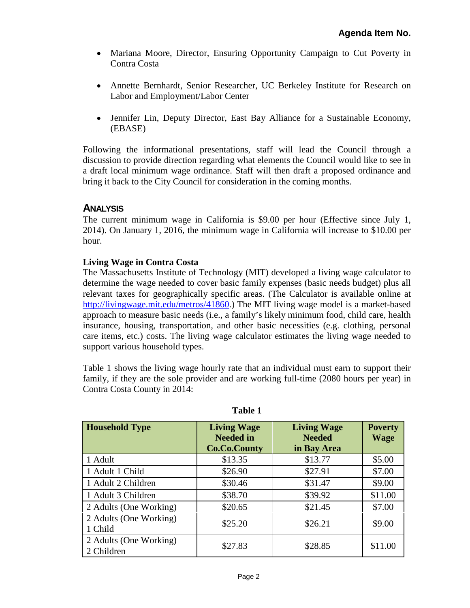- Mariana Moore, Director, Ensuring Opportunity Campaign to Cut Poverty in Contra Costa
- Annette Bernhardt, Senior Researcher, UC Berkeley Institute for Research on Labor and Employment/Labor Center
- $\bullet$ Jennifer Lin, Deputy Director, East Bay Alliance for a Sustainable Economy, (EBASE)

Following the informational presentations, staff will lead the Council through a discussion to provide direction regarding what elements the Council would like to see in a draft local minimum wage ordinance. Staff will then draft a proposed ordinance and bring it back to the City Council for consideration in the coming months.

### **ANALYSIS**

The current minimum wage in California is \$9.00 per hour (Effective since July 1, 2014). On January 1, 2016, the minimum wage in California will increase to \$10.00 per hour.

#### **Living Wage in Contra Costa**

The Massachusetts Institute of Technology (MIT) developed a living wage calculator to determine the wage needed to cover basic family expenses (basic needs budget) plus all relevant taxes for geographically specific areas. (The Calculator is available online at http://livingwage.mit.edu/metros/41860.) The MIT living wage model is a market-based approach to measure basic needs (i.e., a family's likely minimum food, child care, health insurance, housing, transportation, and other basic necessities (e.g. clothing, personal care items, etc.) costs. The living wage calculator estimates the living wage needed to support various household types.

Table 1 shows the living wage hourly rate that an individual must earn to support their family, if they are the sole provider and are working full-time (2080 hours per year) in Contra Costa County in 2014:

| <b>Household Type</b>                | <b>Living Wage</b><br><b>Needed in</b><br><b>Co.Co.County</b> | <b>Living Wage</b><br><b>Needed</b><br>in Bay Area | <b>Poverty</b><br><b>Wage</b> |
|--------------------------------------|---------------------------------------------------------------|----------------------------------------------------|-------------------------------|
| 1 Adult                              | \$13.35                                                       | \$13.77                                            | \$5.00                        |
| 1 Adult 1 Child                      | \$26.90                                                       | \$27.91                                            | \$7.00                        |
| 1 Adult 2 Children                   | \$30.46                                                       | \$31.47                                            | \$9.00                        |
| 1 Adult 3 Children                   | \$38.70                                                       | \$39.92                                            | \$11.00                       |
| 2 Adults (One Working)               | \$20.65                                                       | \$21.45                                            | \$7.00                        |
| 2 Adults (One Working)<br>1 Child    | \$25.20                                                       | \$26.21                                            | \$9.00                        |
| 2 Adults (One Working)<br>2 Children | \$27.83                                                       | \$28.85                                            | \$11.00                       |

**Table 1**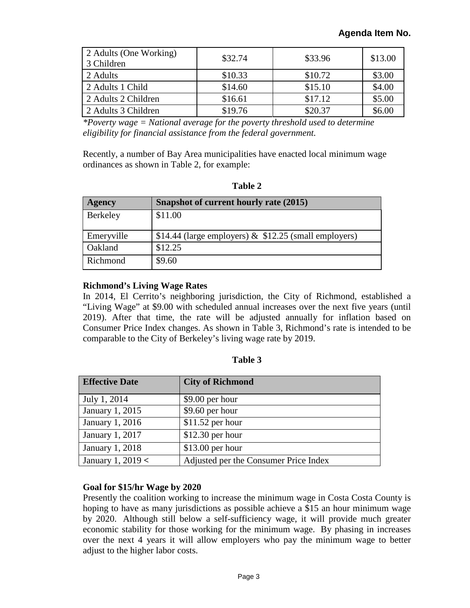| 2 Adults (One Working)<br>3 Children | \$32.74 | \$33.96 | \$13.00 |
|--------------------------------------|---------|---------|---------|
| 2 Adults                             | \$10.33 | \$10.72 | \$3.00  |
| 2 Adults 1 Child                     | \$14.60 | \$15.10 | \$4.00  |
| 2 Adults 2 Children                  | \$16.61 | \$17.12 | \$5.00  |
| 2 Adults 3 Children                  | \$19.76 | \$20.37 | \$6.00  |

*\*Poverty wage = National average for the poverty threshold used to determine eligibility for financial assistance from the federal government.* 

Recently, a number of Bay Area municipalities have enacted local minimum wage ordinances as shown in Table 2, for example:

| וח<br>Ш<br>п |  |
|--------------|--|
|--------------|--|

| <b>Agency</b> | Snapshot of current hourly rate (2015)                   |
|---------------|----------------------------------------------------------|
| Berkeley      | \$11.00                                                  |
| Emeryville    | \$14.44 (large employers) $\&$ \$12.25 (small employers) |
| Oakland       | \$12.25                                                  |
| Richmond      | \$9.60                                                   |

#### **Richmond's Living Wage Rates**

In 2014, El Cerrito's neighboring jurisdiction, the City of Richmond, established a "Living Wage" at \$9.00 with scheduled annual increases over the next five years (until 2019). After that time, the rate will be adjusted annually for inflation based on Consumer Price Index changes. As shown in Table 3, Richmond's rate is intended to be comparable to the City of Berkeley's living wage rate by 2019.

| mio<br>n |  |
|----------|--|
|----------|--|

| <b>Effective Date</b> | <b>City of Richmond</b>               |
|-----------------------|---------------------------------------|
| July 1, 2014          | $$9.00$ per hour                      |
| January 1, 2015       | $$9.60$ per hour                      |
| January 1, 2016       | $$11.52$ per hour                     |
| January 1, 2017       | $$12.30$ per hour                     |
| January 1, 2018       | $$13.00$ per hour                     |
| January 1, 2019 <     | Adjusted per the Consumer Price Index |

#### **Goal for \$15/hr Wage by 2020**

Presently the coalition working to increase the minimum wage in Costa Costa County is hoping to have as many jurisdictions as possible achieve a \$15 an hour minimum wage by 2020. Although still below a self-sufficiency wage, it will provide much greater economic stability for those working for the minimum wage. By phasing in increases over the next 4 years it will allow employers who pay the minimum wage to better adjust to the higher labor costs.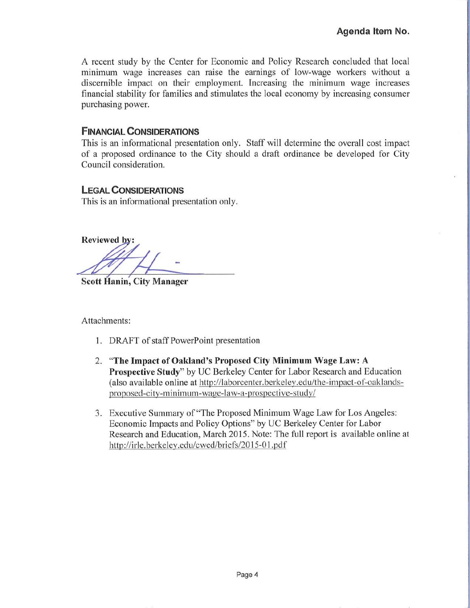A recent study by the Center for Economic and Policy Research concluded that local minimum wage increases can raise the earnings of low-wage workers without a discernible impact on their employment. Increasing the minimum wage increases financial stability for families and stimulates the local economy by increasing consumer purchasing power.

### **FINANCIAL CONSIDERATIONS**

This is an informational presentation only. Staff will determine the overall cost impact of a proposed ordinance to the City should a draft ordinance be developed for City Council consideration.

### **LEGAL CONSIDERATIONS**

This is an informational presentation only.

**Reviewed by:** 

Scott Hanin, City Manager

Attachments:

- 1. DRAFT of staff PowerPoint presentation
- 2. "The Impact of Oakland's Proposed City Minimum Wage Law: A Prospective Study" by UC Berkeley Center for Labor Research and Education (also available online at http://laborcenter.berkeley.edu/the-impact-of-oaklandsproposed-city-minimum-wage-law-a-prospective-study/
- 3. Executive Summary of "The Proposed Minimum Wage Law for Los Angeles: Economic Impacts and Policy Options" by UC Berkeley Center for Labor Research and Education, March 2015. Note: The full report is available online at http://irle.berkeley.edu/cwed/briefs/2015-01.pdf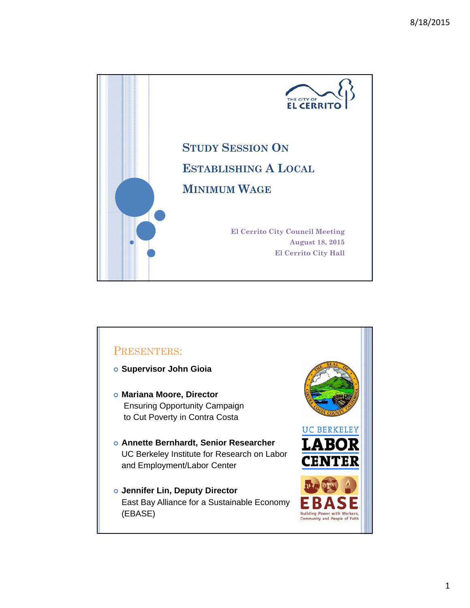

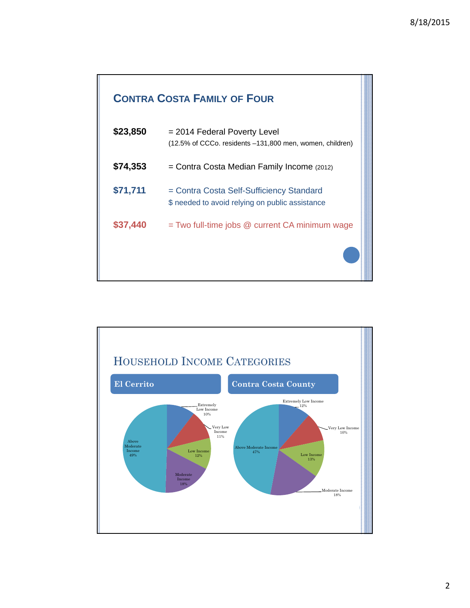## **CONTRA COSTA FAMILY OF FOUR**

| \$23,850 | $= 2014$ Federal Poverty Level<br>(12.5% of CCCo. residents -131,800 men, women, children)  |
|----------|---------------------------------------------------------------------------------------------|
| \$74,353 | $=$ Contra Costa Median Family Income (2012)                                                |
| \$71,711 | = Contra Costa Self-Sufficiency Standard<br>\$ needed to avoid relying on public assistance |
| \$37,440 | = Two full-time jobs @ current CA minimum wage                                              |
|          |                                                                                             |

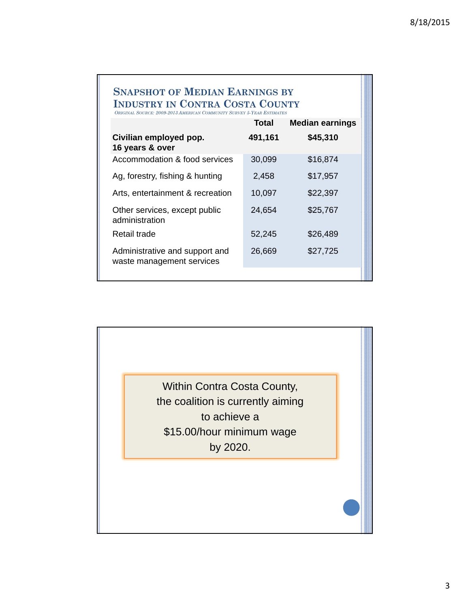### **SNAPSHOT OF MEDIAN EARNINGS BY INDUSTRY IN CONTRA COSTA COUNTY**

*ORIGINAL SOURCE: 2009-2013 AMERICAN COMMUNITY SURVEY 5-YEAR ESTIMATES* **Total Median earnings Civilian employed pop. 491,161 \$45,310 16 years & over** Accommodation & food services 30,099 \$16,874 Ag, forestry, fishing & hunting 2,458 \$17,957

| Arts, entertainment & recreation                            | 10,097 | \$22,397 |
|-------------------------------------------------------------|--------|----------|
| Other services, except public<br>administration             | 24,654 | \$25,767 |
| Retail trade                                                | 52,245 | \$26,489 |
| Administrative and support and<br>waste management services | 26,669 | \$27,725 |

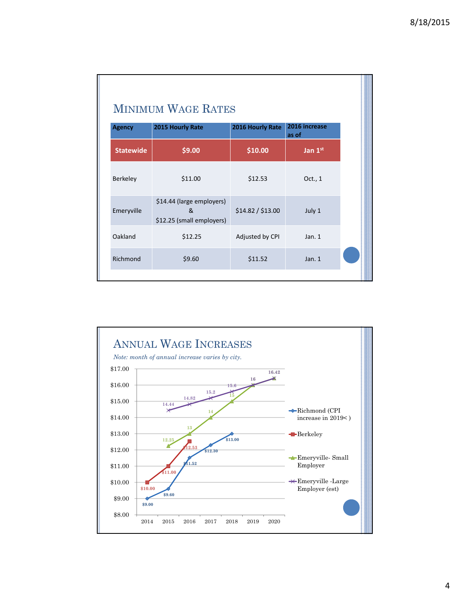| <b>Agency</b>    | 2015 Hourly Rate                                            | <b>MINIMUM WAGE RATES</b><br>2016 Hourly Rate | 2016 increase |  |
|------------------|-------------------------------------------------------------|-----------------------------------------------|---------------|--|
|                  |                                                             |                                               | as of         |  |
| <b>Statewide</b> | \$9.00                                                      | \$10.00                                       | Jan 1st       |  |
| Berkeley         | \$11.00                                                     | \$12.53                                       | Oct., 1       |  |
| Emeryville       | \$14.44 (large employers)<br>&<br>\$12.25 (small employers) | \$14.82 / \$13.00                             | July 1        |  |
| Oakland          | \$12.25                                                     | Adjusted by CPI                               | Jan.1         |  |
| Richmond         | \$9.60                                                      | \$11.52                                       | Jan. $1$      |  |

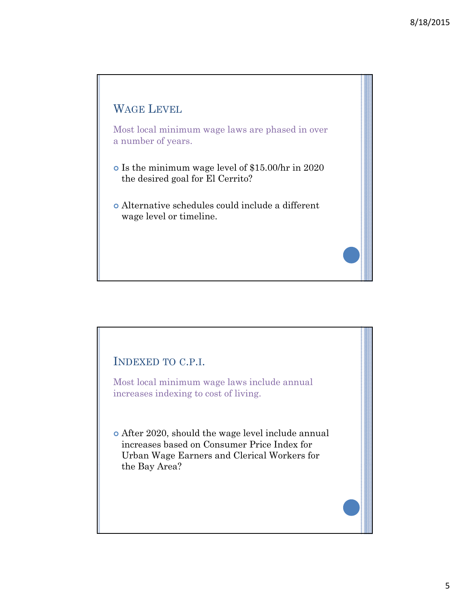# WAGE LEVEL

Most local minimum wage laws are phased in over a number of years.

- Is the minimum wage level of \$15.00/hr in 2020 the desired goal for El Cerrito?
- Alternative schedules could include a different wage level or timeline.

## INDEXED TO C.P.I.

Most local minimum wage laws include annual increases indexing to cost of living.

 After 2020, should the wage level include annual increases based on Consumer Price Index for Urban Wage Earners and Clerical Workers for the Bay Area?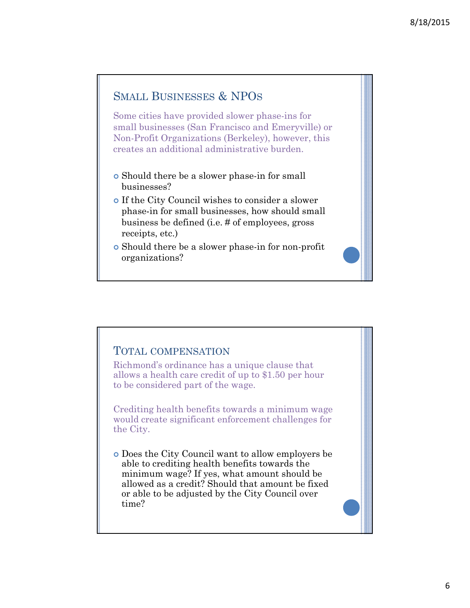## SMALL BUSINESSES & NPOS

Some cities have provided slower phase-ins for small businesses (San Francisco and Emeryville) or Non-Profit Organizations (Berkeley), however, this creates an additional administrative burden.

- Should there be a slower phase-in for small businesses?
- If the City Council wishes to consider a slower phase-in for small businesses, how should small business be defined (i.e. # of employees, gross receipts, etc.)
- Should there be a slower phase-in for non-profit organizations?

### TOTAL COMPENSATION

Richmond's ordinance has a unique clause that allows a health care credit of up to \$1.50 per hour to be considered part of the wage.

Crediting health benefits towards a minimum wage would create significant enforcement challenges for the City.

 Does the City Council want to allow employers be able to crediting health benefits towards the minimum wage? If yes, what amount should be allowed as a credit? Should that amount be fixed or able to be adjusted by the City Council over time?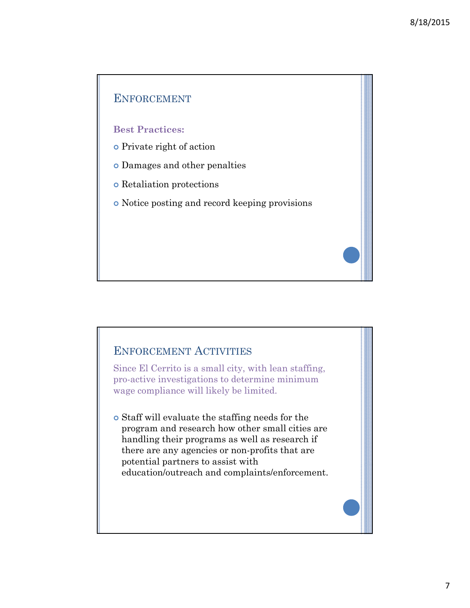

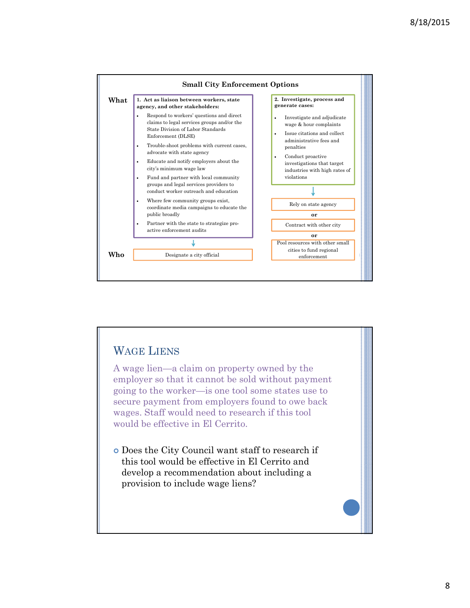